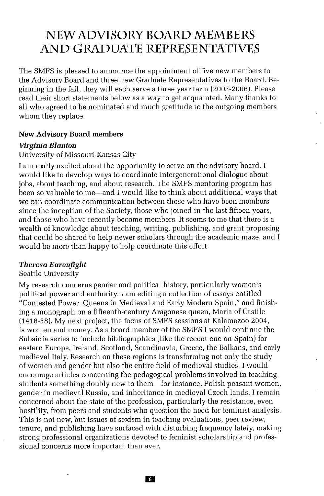# **NEWADVISORY BOARD MEMBERS AND GRADUATE REPRESENTATIVES**

The SMFS is pleased to announce the appointment of five new members to the Advisory Board and three new Graduate Representatives to the Board. Beginning in the fall, they will each serve a three year term (2003-2006). Please read their short statements below as a way to get acquainted. Many thanks to all who agreed to be nominated and much gratitude to the outgoing members whom they replace.

#### **New Advisory Board** members

#### *Virginia Blanton*

#### University of Missouri-Kansas City

I am really excited about the opportunity to serve on the advisory board. I would like to develop ways to coordinate intergenerational dialogue about jobs, about teaching, and about research. The SMFS mentoring program has been so valuable to me-and I would like to think about additional ways that we can coordinate communication between those who have been members since the inception of the Society, those who joined in the last fifteen years, and those who have recently become members. It seems to me that there is a wealth of knowledge about teaching, writing, publishing, and grant proposing that could be shared to help newer scholars through the academic maze, and I would be more than happy to help coordinate this effort.

#### *Theresa Earenfight*

#### Seattle University

My research concerns gender and political history, particularly women's political power and authority. I am editing a collection of essays entitled "Contested Power: Queens in Medieval and Early Modern Spain," and finishing a monograph on a fifteenth-century Aragonese queen, Maria of Castile (1416-58). My next project, the focus of SMFS sessions at Kalamazoo 2004, is women and money. As a board member of the SMFS I would continue the Subsidia series to include bibliographies (like the recent one on Spain) for eastern Europe, Ireland, Scotland, Scandinavia, Greece, the Balkans, and early medieval Italy. Research on these regions is transforming not only the study of women and gender but also the entire field of medieval studies. I would encourage articles concerning the pedagogical problems involved in teaching students something doubly new to them-for instance, Polish peasant women, gender in medieval Russia, and inheritance in medieval Czech lands. I remain concerned about the state of the profession, particularly the resistance, even hostility, from peers and students who question the need for feminist analysis. This is not new, but issues of sexism in teaching evaluations, peer review, tenure, and publishing have surfaced with disturbing frequency lately, making strong professional organizations devoted to feminist scholarship and professional concerns more important than ever.

**K3**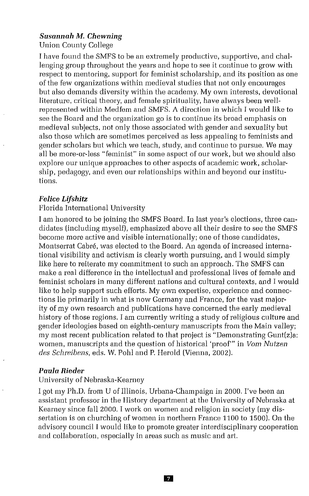## *Susannah* M. *Chewning*

Union County College

I have found the SMFS to be an extremely productive, supportive, and challenging group throughout the years and hope to see it continue to grow with respect to mentoring, support for feminist scholarship, and its position as one of the few organizations within medieval studies that not only encourages but also demands diversity within the academy, My own interests, devotional literature, critical theory, and female spirituality, have always been wellrepresented within Medfem and SMFS. A direction in which I would like to see the Board and the organization go is to continue its broad emphasis on medieval subjects, not only those associated with gender and sexuality but also those which are sometimes perceived as less appealing to feminists and gender scholars but which we teach, study, and continue to pursue. We may all be more-or-less "feminist" in some aspect of our work, but we should also explore our unique approaches to other aspects of academic work, scholarship, pedagogy, and even our relationships within and beyond our institutions.

#### *Felice Lifshitz*

### Florida International University

I am honored to be joining the SMFS Board, In last year's elections, three candidates (including myself), emphasized above all their desire to see the SMFS become more active and visible internationally; one of those candidates, Montserrat Cabre, was elected to the Board. An agenda of increased international visibility and activism is clearly worth pursuing, and I would simply like here to reiterate my commitment to such an approach. The SMFS can make a real difference in the intellectual and professional lives of female and feminist scholars in many different nations and cultural contexts, and I would like to help support such efforts. My own expertise, experience and connections lie primarily in what is now Germany and France, for the vast majority of my own research and publications have concerned the early medieval history of those regions. I am currently writing a study of religious culture and gender ideologies based on eighth-century manuscripts from the Main valley; my most recent publication related to that project is "Demonstrating Gunt(z)a: women, manuscripts and the question of historical 'proof'" in *Vom Nutzen des Scbreibens,* eds. W, Pohl and P, Herold (Vienna, 2002),

#### *Paula Rieder*

## University of Nebraska-Kearney

I got my Ph.D. from U of Illinois, Urbana-Champaign in 2000, I've been an assistant professor in the History department at the University of Nebraska at Kearney since fall 2000. I work on women and religion in society (my dissertation is on churching of women in northern France 1100 to 1500). On the advisory council I would like to promote greater interdisciplinary cooperation and collaboration, especially in areas such as music and art.